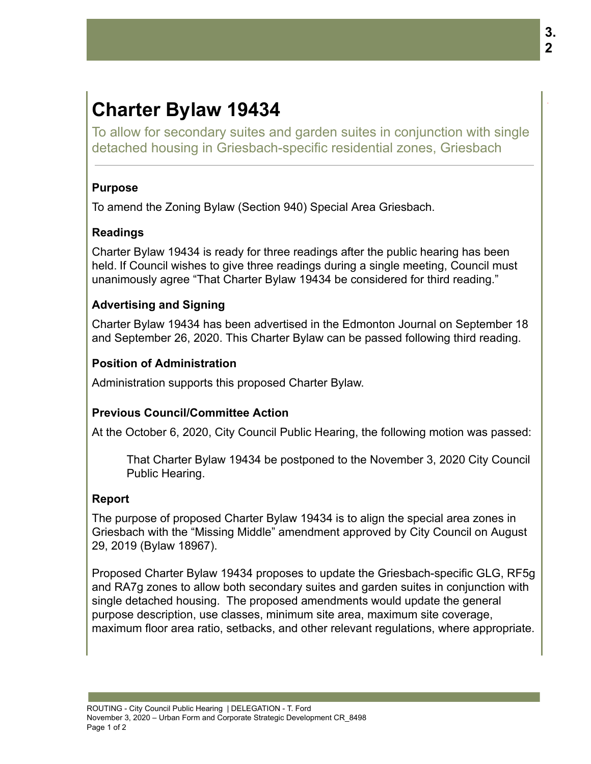# **Charter Bylaw 19434**

To allow for secondary suites and garden suites in conjunction with single detached housing in Griesbach-specific residential zones, Griesbach

#### **Purpose**

To amend the Zoning Bylaw (Section 940) Special Area Griesbach.

## **Readings**

Charter Bylaw 19434 is ready for three readings after the public hearing has been held. If Council wishes to give three readings during a single meeting, Council must unanimously agree "That Charter Bylaw 19434 be considered for third reading."

## **Advertising and Signing**

Charter Bylaw 19434 has been advertised in the Edmonton Journal on September 18 and September 26, 2020. This Charter Bylaw can be passed following third reading.

## **Position of Administration**

Administration supports this proposed Charter Bylaw.

## **Previous Council/Committee Action**

At the October 6, 2020, City Council Public Hearing, the following motion was passed:

That Charter Bylaw 19434 be postponed to the November 3, 2020 City Council Public Hearing.

## **Report**

The purpose of proposed Charter Bylaw 19434 is to align the special area zones in Griesbach with the "Missing Middle" amendment approved by City Council on August 29, 2019 (Bylaw 18967).

Proposed Charter Bylaw 19434 proposes to update the Griesbach-specific GLG, RF5g and RA7g zones to allow both secondary suites and garden suites in conjunction with single detached housing. The proposed amendments would update the general purpose description, use classes, minimum site area, maximum site coverage, maximum floor area ratio, setbacks, and other relevant regulations, where appropriate.

.